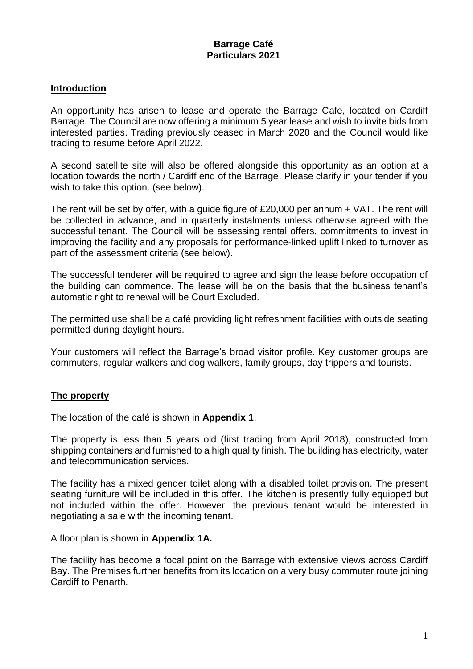#### **Introduction**

An opportunity has arisen to lease and operate the Barrage Cafe, located on Cardiff Barrage. The Council are now offering a minimum 5 year lease and wish to invite bids from interested parties. Trading previously ceased in March 2020 and the Council would like trading to resume before April 2022.

A second satellite site will also be offered alongside this opportunity as an option at a location towards the north / Cardiff end of the Barrage. Please clarify in your tender if you wish to take this option. (see below).

The rent will be set by offer, with a guide figure of £20,000 per annum + VAT. The rent will be collected in advance, and in quarterly instalments unless otherwise agreed with the successful tenant. The Council will be assessing rental offers, commitments to invest in improving the facility and any proposals for performance-linked uplift linked to turnover as part of the assessment criteria (see below).

The successful tenderer will be required to agree and sign the lease before occupation of the building can commence. The lease will be on the basis that the business tenant's automatic right to renewal will be Court Excluded.

The permitted use shall be a café providing light refreshment facilities with outside seating permitted during daylight hours.

Your customers will reflect the Barrage's broad visitor profile. Key customer groups are commuters, regular walkers and dog walkers, family groups, day trippers and tourists.

#### **The property**

The location of the café is shown in **Appendix 1**.

The property is less than 5 years old (first trading from April 2018), constructed from shipping containers and furnished to a high quality finish. The building has electricity, water and telecommunication services.

The facility has a mixed gender toilet along with a disabled toilet provision. The present seating furniture will be included in this offer. The kitchen is presently fully equipped but not included within the offer. However, the previous tenant would be interested in negotiating a sale with the incoming tenant.

A floor plan is shown in **Appendix 1A.**

The facility has become a focal point on the Barrage with extensive views across Cardiff Bay. The Premises further benefits from its location on a very busy commuter route joining Cardiff to Penarth.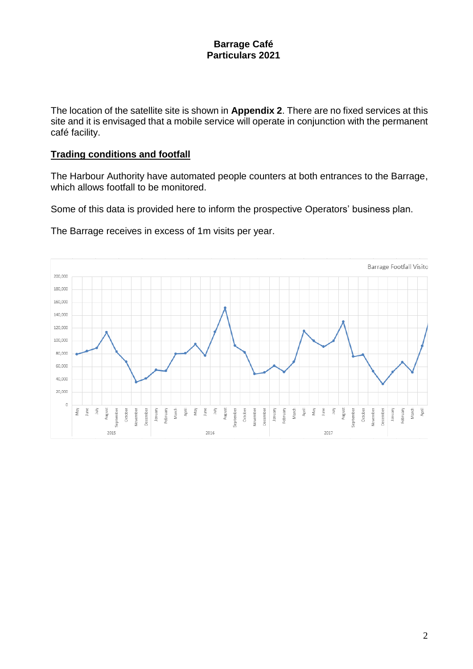The location of the satellite site is shown in **Appendix 2**. There are no fixed services at this site and it is envisaged that a mobile service will operate in conjunction with the permanent café facility.

#### **Trading conditions and footfall**

The Harbour Authority have automated people counters at both entrances to the Barrage, which allows footfall to be monitored.

Some of this data is provided here to inform the prospective Operators' business plan.

The Barrage receives in excess of 1m visits per year.

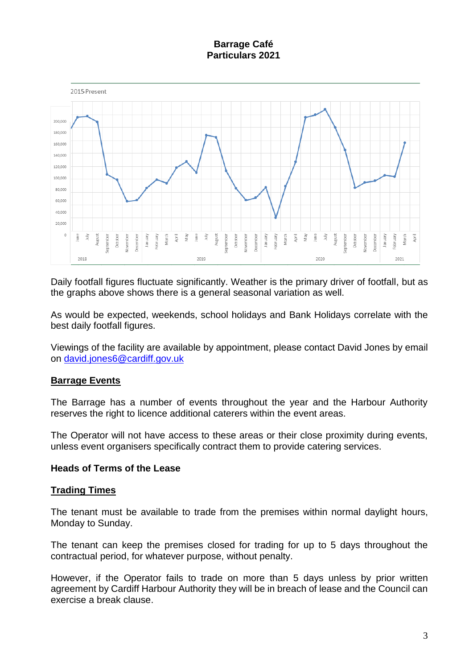

Daily footfall figures fluctuate significantly. Weather is the primary driver of footfall, but as the graphs above shows there is a general seasonal variation as well.

As would be expected, weekends, school holidays and Bank Holidays correlate with the best daily footfall figures.

Viewings of the facility are available by appointment, please contact David Jones by email on [david.jones6@cardiff.gov.uk](mailto:david.jones6@cardiff.gov.uk)

## **Barrage Events**

The Barrage has a number of events throughout the year and the Harbour Authority reserves the right to licence additional caterers within the event areas.

The Operator will not have access to these areas or their close proximity during events, unless event organisers specifically contract them to provide catering services.

#### **Heads of Terms of the Lease**

#### **Trading Times**

The tenant must be available to trade from the premises within normal daylight hours, Monday to Sunday.

The tenant can keep the premises closed for trading for up to 5 days throughout the contractual period, for whatever purpose, without penalty.

However, if the Operator fails to trade on more than 5 days unless by prior written agreement by Cardiff Harbour Authority they will be in breach of lease and the Council can exercise a break clause.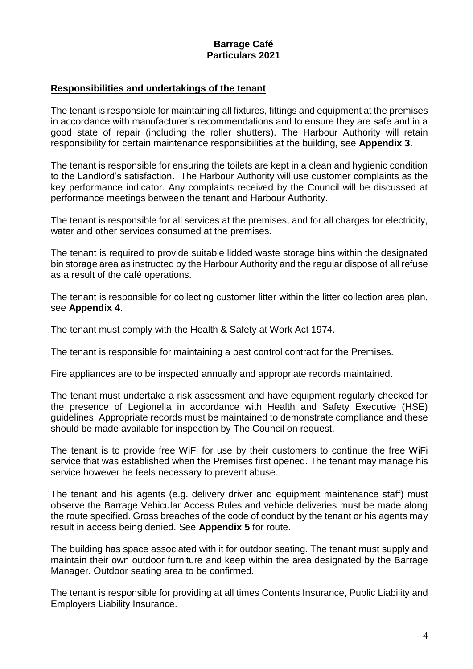#### **Responsibilities and undertakings of the tenant**

The tenant is responsible for maintaining all fixtures, fittings and equipment at the premises in accordance with manufacturer's recommendations and to ensure they are safe and in a good state of repair (including the roller shutters). The Harbour Authority will retain responsibility for certain maintenance responsibilities at the building, see **Appendix 3**.

The tenant is responsible for ensuring the toilets are kept in a clean and hygienic condition to the Landlord's satisfaction. The Harbour Authority will use customer complaints as the key performance indicator. Any complaints received by the Council will be discussed at performance meetings between the tenant and Harbour Authority.

The tenant is responsible for all services at the premises, and for all charges for electricity, water and other services consumed at the premises.

The tenant is required to provide suitable lidded waste storage bins within the designated bin storage area as instructed by the Harbour Authority and the regular dispose of all refuse as a result of the café operations.

The tenant is responsible for collecting customer litter within the litter collection area plan, see **Appendix 4**.

The tenant must comply with the Health & Safety at Work Act 1974.

The tenant is responsible for maintaining a pest control contract for the Premises.

Fire appliances are to be inspected annually and appropriate records maintained.

The tenant must undertake a risk assessment and have equipment regularly checked for the presence of Legionella in accordance with Health and Safety Executive (HSE) guidelines. Appropriate records must be maintained to demonstrate compliance and these should be made available for inspection by The Council on request.

The tenant is to provide free WiFi for use by their customers to continue the free WiFi service that was established when the Premises first opened. The tenant may manage his service however he feels necessary to prevent abuse.

The tenant and his agents (e.g. delivery driver and equipment maintenance staff) must observe the Barrage Vehicular Access Rules and vehicle deliveries must be made along the route specified. Gross breaches of the code of conduct by the tenant or his agents may result in access being denied. See **Appendix 5** for route.

The building has space associated with it for outdoor seating. The tenant must supply and maintain their own outdoor furniture and keep within the area designated by the Barrage Manager. Outdoor seating area to be confirmed.

The tenant is responsible for providing at all times Contents Insurance, Public Liability and Employers Liability Insurance.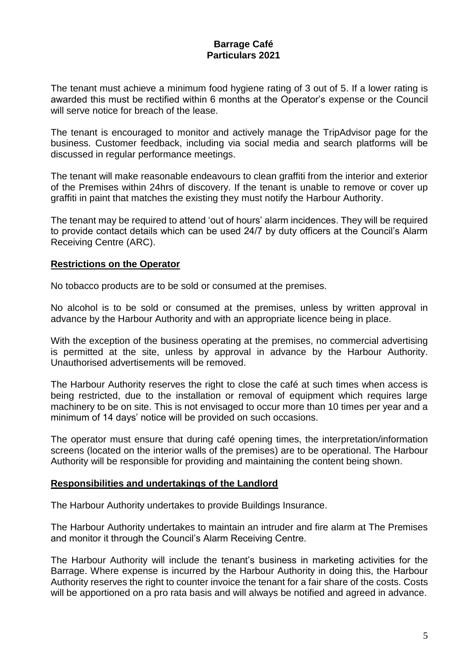The tenant must achieve a minimum food hygiene rating of 3 out of 5. If a lower rating is awarded this must be rectified within 6 months at the Operator's expense or the Council will serve notice for breach of the lease.

The tenant is encouraged to monitor and actively manage the TripAdvisor page for the business. Customer feedback, including via social media and search platforms will be discussed in regular performance meetings.

The tenant will make reasonable endeavours to clean graffiti from the interior and exterior of the Premises within 24hrs of discovery. If the tenant is unable to remove or cover up graffiti in paint that matches the existing they must notify the Harbour Authority.

The tenant may be required to attend 'out of hours' alarm incidences. They will be required to provide contact details which can be used 24/7 by duty officers at the Council's Alarm Receiving Centre (ARC).

#### **Restrictions on the Operator**

No tobacco products are to be sold or consumed at the premises.

No alcohol is to be sold or consumed at the premises, unless by written approval in advance by the Harbour Authority and with an appropriate licence being in place.

With the exception of the business operating at the premises, no commercial advertising is permitted at the site, unless by approval in advance by the Harbour Authority. Unauthorised advertisements will be removed.

The Harbour Authority reserves the right to close the café at such times when access is being restricted, due to the installation or removal of equipment which requires large machinery to be on site. This is not envisaged to occur more than 10 times per year and a minimum of 14 days' notice will be provided on such occasions.

The operator must ensure that during café opening times, the interpretation/information screens (located on the interior walls of the premises) are to be operational. The Harbour Authority will be responsible for providing and maintaining the content being shown.

#### **Responsibilities and undertakings of the Landlord**

The Harbour Authority undertakes to provide Buildings Insurance.

The Harbour Authority undertakes to maintain an intruder and fire alarm at The Premises and monitor it through the Council's Alarm Receiving Centre.

The Harbour Authority will include the tenant's business in marketing activities for the Barrage. Where expense is incurred by the Harbour Authority in doing this, the Harbour Authority reserves the right to counter invoice the tenant for a fair share of the costs. Costs will be apportioned on a pro rata basis and will always be notified and agreed in advance.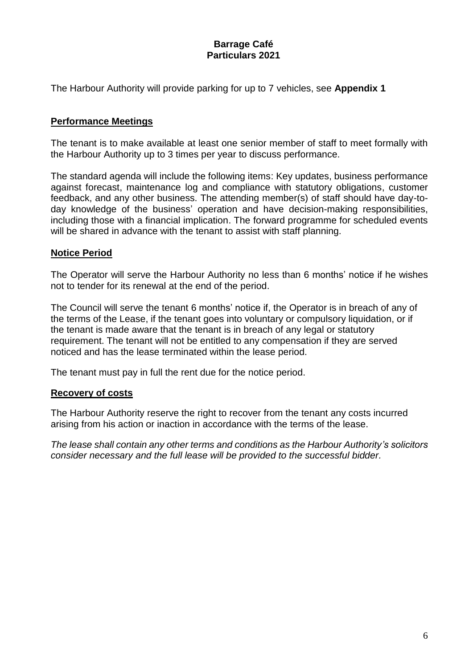The Harbour Authority will provide parking for up to 7 vehicles, see **Appendix 1**

#### **Performance Meetings**

The tenant is to make available at least one senior member of staff to meet formally with the Harbour Authority up to 3 times per year to discuss performance.

The standard agenda will include the following items: Key updates, business performance against forecast, maintenance log and compliance with statutory obligations, customer feedback, and any other business. The attending member(s) of staff should have day-today knowledge of the business' operation and have decision-making responsibilities, including those with a financial implication. The forward programme for scheduled events will be shared in advance with the tenant to assist with staff planning.

#### **Notice Period**

The Operator will serve the Harbour Authority no less than 6 months' notice if he wishes not to tender for its renewal at the end of the period.

The Council will serve the tenant 6 months' notice if, the Operator is in breach of any of the terms of the Lease, if the tenant goes into voluntary or compulsory liquidation, or if the tenant is made aware that the tenant is in breach of any legal or statutory requirement. The tenant will not be entitled to any compensation if they are served noticed and has the lease terminated within the lease period.

The tenant must pay in full the rent due for the notice period.

#### **Recovery of costs**

The Harbour Authority reserve the right to recover from the tenant any costs incurred arising from his action or inaction in accordance with the terms of the lease.

*The lease shall contain any other terms and conditions as the Harbour Authority's solicitors consider necessary and the full lease will be provided to the successful bidder.*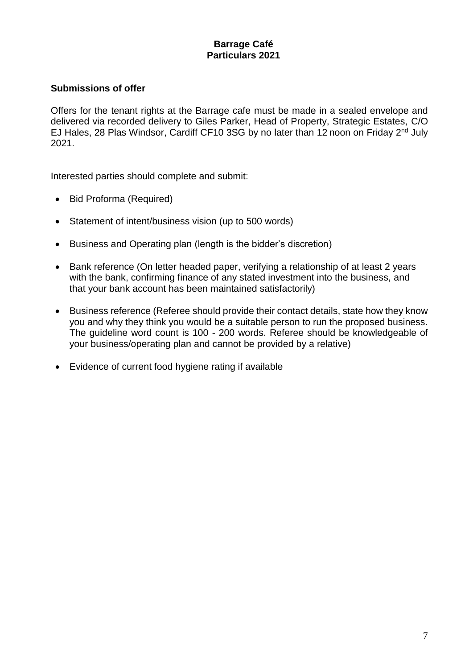#### **Submissions of offer**

Offers for the tenant rights at the Barrage cafe must be made in a sealed envelope and delivered via recorded delivery to Giles Parker, Head of Property, Strategic Estates, C/O EJ Hales, 28 Plas Windsor, Cardiff CF10 3SG by no later than 12 noon on Friday 2<sup>nd</sup> July 2021.

Interested parties should complete and submit:

- Bid Proforma (Required)
- Statement of intent/business vision (up to 500 words)
- Business and Operating plan (length is the bidder's discretion)
- Bank reference (On letter headed paper, verifying a relationship of at least 2 years with the bank, confirming finance of any stated investment into the business, and that your bank account has been maintained satisfactorily)
- Business reference (Referee should provide their contact details, state how they know you and why they think you would be a suitable person to run the proposed business. The guideline word count is 100 - 200 words. Referee should be knowledgeable of your business/operating plan and cannot be provided by a relative)
- Evidence of current food hygiene rating if available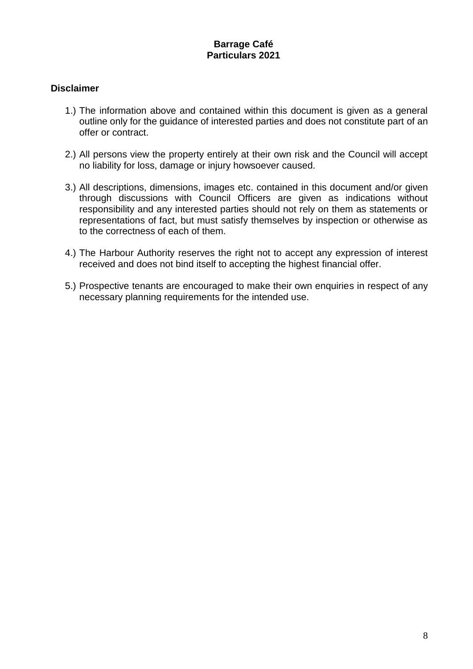#### **Disclaimer**

- 1.) The information above and contained within this document is given as a general outline only for the guidance of interested parties and does not constitute part of an offer or contract.
- 2.) All persons view the property entirely at their own risk and the Council will accept no liability for loss, damage or injury howsoever caused.
- 3.) All descriptions, dimensions, images etc. contained in this document and/or given through discussions with Council Officers are given as indications without responsibility and any interested parties should not rely on them as statements or representations of fact, but must satisfy themselves by inspection or otherwise as to the correctness of each of them.
- 4.) The Harbour Authority reserves the right not to accept any expression of interest received and does not bind itself to accepting the highest financial offer.
- 5.) Prospective tenants are encouraged to make their own enquiries in respect of any necessary planning requirements for the intended use.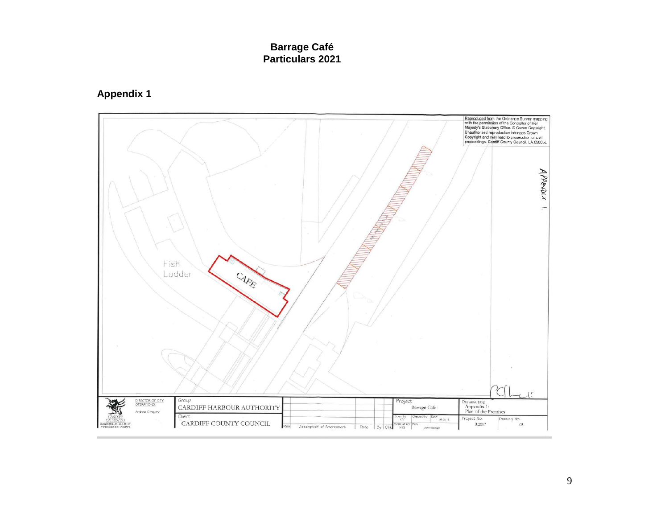**Appendix 1**

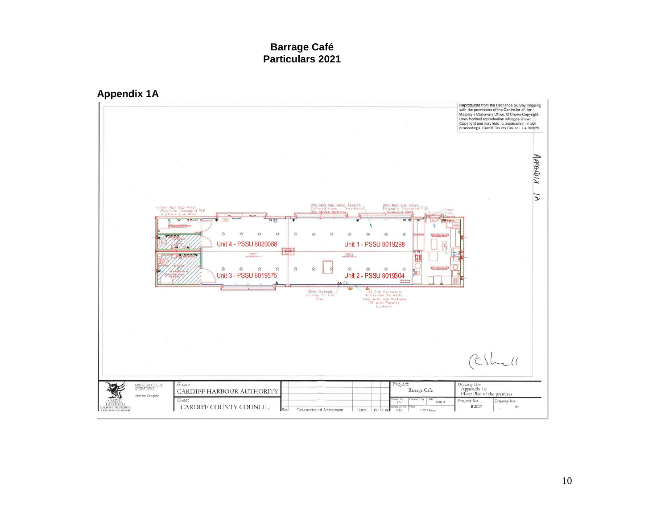

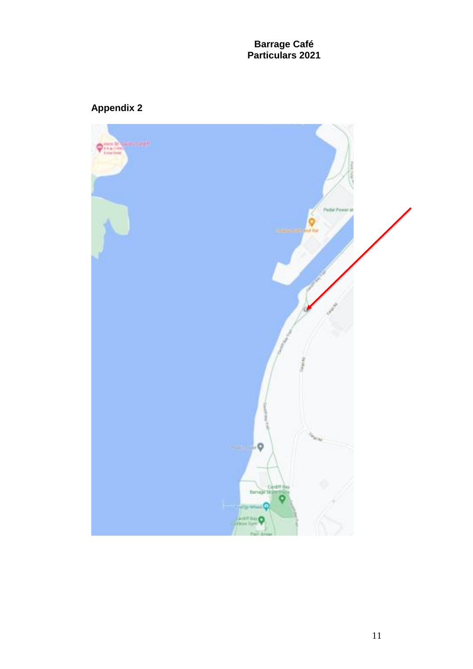# **Appendix 2**

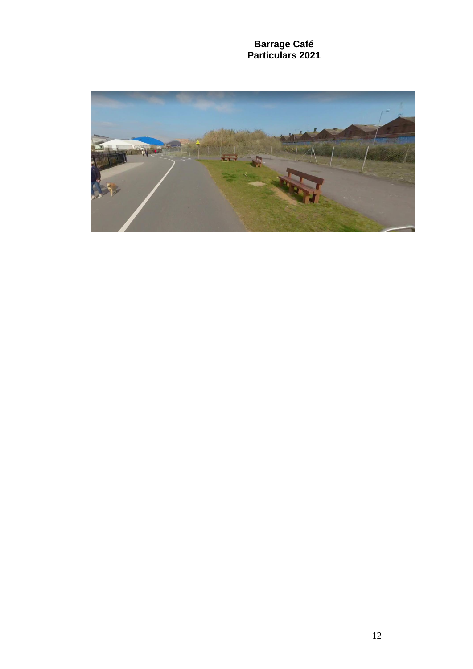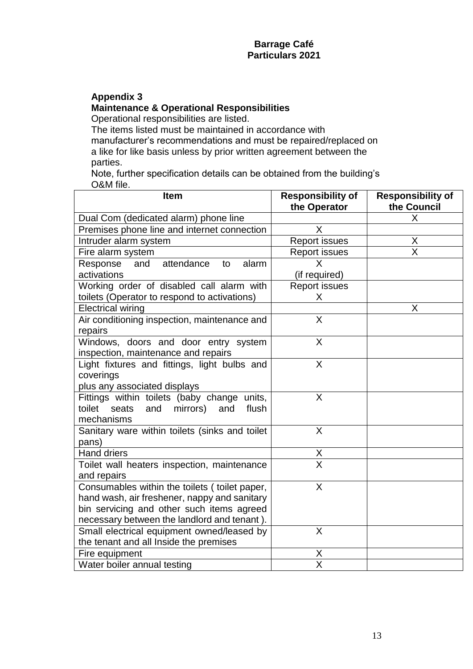# **Appendix 3**

#### **Maintenance & Operational Responsibilities**

Operational responsibilities are listed.

The items listed must be maintained in accordance with manufacturer's recommendations and must be repaired/replaced on a like for like basis unless by prior written agreement between the parties.

Note, further specification details can be obtained from the building's O&M file.

| <b>Item</b>                                        | <b>Responsibility of</b> | <b>Responsibility of</b> |
|----------------------------------------------------|--------------------------|--------------------------|
|                                                    | the Operator             | the Council              |
| Dual Com (dedicated alarm) phone line              |                          | X                        |
| Premises phone line and internet connection        | X                        |                          |
| Intruder alarm system                              | <b>Report issues</b>     | Χ                        |
| Fire alarm system                                  | <b>Report issues</b>     | $\overline{\sf X}$       |
| attendance<br>Response<br>alarm<br>and<br>to       | X                        |                          |
| activations                                        | (if required)            |                          |
| Working order of disabled call alarm with          | <b>Report issues</b>     |                          |
| toilets (Operator to respond to activations)       | X.                       |                          |
| <b>Electrical wiring</b>                           |                          | X                        |
| Air conditioning inspection, maintenance and       | X                        |                          |
| repairs                                            |                          |                          |
| Windows, doors and door entry system               | X                        |                          |
| inspection, maintenance and repairs                |                          |                          |
| Light fixtures and fittings, light bulbs and       | $\mathsf{X}$             |                          |
| coverings                                          |                          |                          |
| plus any associated displays                       |                          |                          |
| Fittings within toilets (baby change units,        | X                        |                          |
| toilet<br>seats<br>and<br>mirrors)<br>and<br>flush |                          |                          |
| mechanisms                                         |                          |                          |
| Sanitary ware within toilets (sinks and toilet     | X                        |                          |
| pans)                                              |                          |                          |
| <b>Hand driers</b>                                 | X                        |                          |
| Toilet wall heaters inspection, maintenance        | $\overline{\mathsf{x}}$  |                          |
| and repairs                                        |                          |                          |
| Consumables within the toilets (toilet paper,      | $\sf X$                  |                          |
| hand wash, air freshener, nappy and sanitary       |                          |                          |
| bin servicing and other such items agreed          |                          |                          |
| necessary between the landlord and tenant).        |                          |                          |
| Small electrical equipment owned/leased by         | $\sf X$                  |                          |
| the tenant and all Inside the premises             |                          |                          |
| Fire equipment                                     | Χ                        |                          |
| Water boiler annual testing                        | $\overline{\mathsf{x}}$  |                          |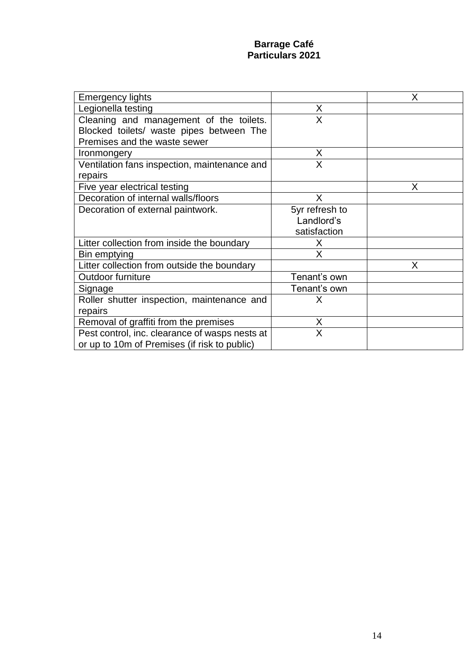| <b>Emergency lights</b>                        |                | X |
|------------------------------------------------|----------------|---|
| Legionella testing                             | X              |   |
| Cleaning and management of the toilets.        | X              |   |
| Blocked toilets/ waste pipes between The       |                |   |
| Premises and the waste sewer                   |                |   |
| Ironmongery                                    | X              |   |
| Ventilation fans inspection, maintenance and   | X              |   |
| repairs                                        |                |   |
| Five year electrical testing                   |                | Χ |
| Decoration of internal walls/floors            | X              |   |
| Decoration of external paintwork.              | 5yr refresh to |   |
|                                                | Landlord's     |   |
|                                                | satisfaction   |   |
| Litter collection from inside the boundary     | Χ              |   |
| Bin emptying                                   | Χ              |   |
| Litter collection from outside the boundary    |                | X |
| Outdoor furniture                              | Tenant's own   |   |
| Signage                                        | Tenant's own   |   |
| Roller shutter inspection, maintenance and     | X              |   |
| repairs                                        |                |   |
| Removal of graffiti from the premises          | X              |   |
| Pest control, inc. clearance of wasps nests at | X              |   |
| or up to 10m of Premises (if risk to public)   |                |   |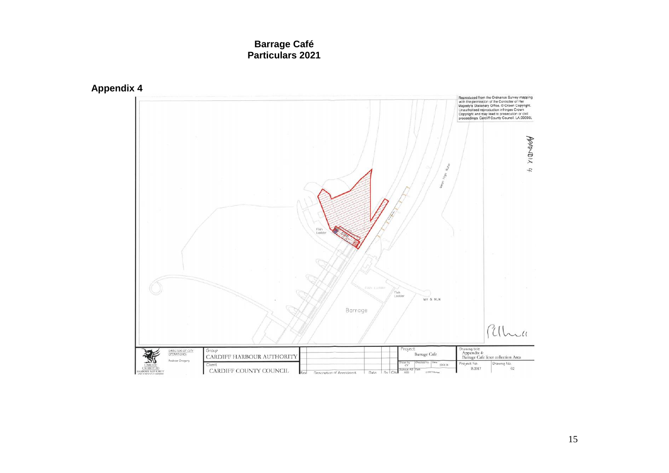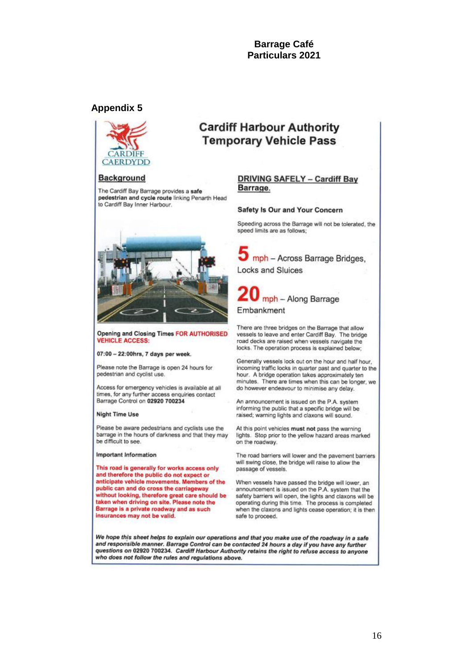**Cardiff Harbour Authority Temporary Vehicle Pass** 

#### **Appendix 5**



#### **Background**

The Cardiff Bay Barrage provides a safe pedestrian and cycle route linking Penarth Head to Cardiff Bay Inner Harbour.



Opening and Closing Times FOR AUTHORISED **VEHICLE ACCESS:** 

07:00 - 22:00hrs, 7 days per week.

Please note the Barrage is open 24 hours for pedestrian and cyclist use.

Access for emergency vehicles is available at all times, for any further access enquiries contact Barrage Control on 02920 700234

#### **Night Time Use**

Please be aware pedestrians and cyclists use the barrage in the hours of darkness and that they may be difficult to see.

#### **Important Information**

This road is generally for works access only and therefore the public do not expect or anticipate vehicle movements. Members of the public can and do cross the carriageway without looking, therefore great care should be taken when driving on site. Please note the Barrage is a private roadway and as such insurances may not be valid.

#### **DRIVING SAFELY - Cardiff Bay** Barrage.

#### Safety Is Our and Your Concern

Speeding across the Barrage will not be tolerated, the speed limits are as follows;

mph - Across Barrage Bridges. **Locks and Sluices** 



There are three bridges on the Barrage that allow vessels to leave and enter Cardiff Bay. The bridge road decks are raised when vessels navigate the locks. The operation process is explained below;

Generally vessels lock out on the hour and half hour, incoming traffic locks in quarter past and quarter to the hour. A bridge operation takes approximately ten minutes. There are times when this can be longer, we do however endeavour to minimise any delay.

An announcement is issued on the P.A. system informing the public that a specific bridge will be raised; warning lights and claxons will sound.

At this point vehicles must not pass the warning lights. Stop prior to the yellow hazard areas marked on the roadway.

The road barriers will lower and the pavement barriers will swing close, the bridge will raise to allow the passage of vessels.

When vessels have passed the bridge will lower, an announcement is issued on the P.A. system that the safety barriers will open, the lights and claxons will be operating during this time. The process is completed when the claxons and lights cease operation; it is then safe to proceed.

We hope this sheet helps to explain our operations and that you make use of the roadway in a safe and responsible manner. Barrage Control can be contacted 24 hours a day if you have any further questions on 02920 700234. Cardiff Harbour Authority retains the right to refuse access to anyone who does not follow the rules and regulations above.